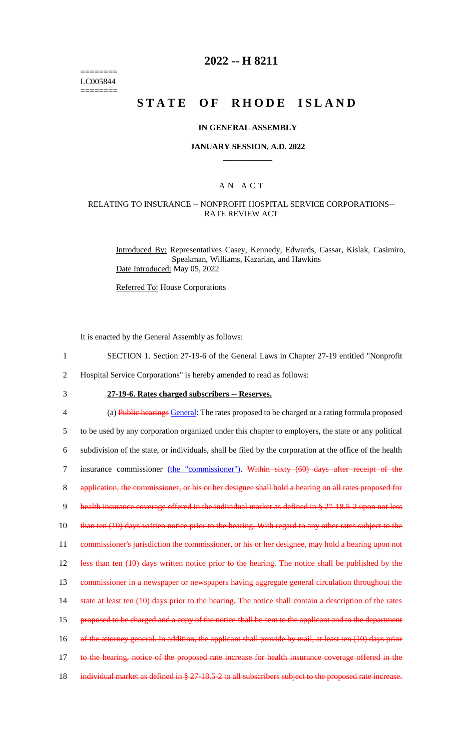======== LC005844 ========

# **2022 -- H 8211**

# **STATE OF RHODE ISLAND**

### **IN GENERAL ASSEMBLY**

#### **JANUARY SESSION, A.D. 2022 \_\_\_\_\_\_\_\_\_\_\_\_**

### A N A C T

### RELATING TO INSURANCE -- NONPROFIT HOSPITAL SERVICE CORPORATIONS-- RATE REVIEW ACT

Introduced By: Representatives Casey, Kennedy, Edwards, Cassar, Kislak, Casimiro, Speakman, Williams, Kazarian, and Hawkins Date Introduced: May 05, 2022

Referred To: House Corporations

It is enacted by the General Assembly as follows:

- 1 SECTION 1. Section 27-19-6 of the General Laws in Chapter 27-19 entitled "Nonprofit
- 2 Hospital Service Corporations" is hereby amended to read as follows:
- 

# 3 **27-19-6. Rates charged subscribers -- Reserves.**

4 (a) Public hearings General: The rates proposed to be charged or a rating formula proposed 5 to be used by any corporation organized under this chapter to employers, the state or any political 6 subdivision of the state, or individuals, shall be filed by the corporation at the office of the health 7 insurance commissioner (the "commissioner"). Within sixty (60) days after receipt of the 8 application, the commissioner, or his or her designee shall hold a hearing on all rates proposed for 9 health insurance coverage offered in the individual market as defined in § 27-18.5-2 upon not less 10 than ten (10) days written notice prior to the hearing. With regard to any other rates subject to the 11 commissioner's jurisdiction the commissioner, or his or her designee, may hold a hearing upon not 12 less than ten (10) days written notice prior to the hearing. The notice shall be published by the 13 commissioner in a newspaper or newspapers having aggregate general circulation throughout the 14 state at least ten (10) days prior to the hearing. The notice shall contain a description of the rates 15 proposed to be charged and a copy of the notice shall be sent to the applicant and to the department 16 of the attorney general. In addition, the applicant shall provide by mail, at least ten (10) days prior 17 to the hearing, notice of the proposed rate increase for health insurance coverage offered in the 18 individual market as defined in § 27-18.5-2 to all subscribers subject to the proposed rate increase.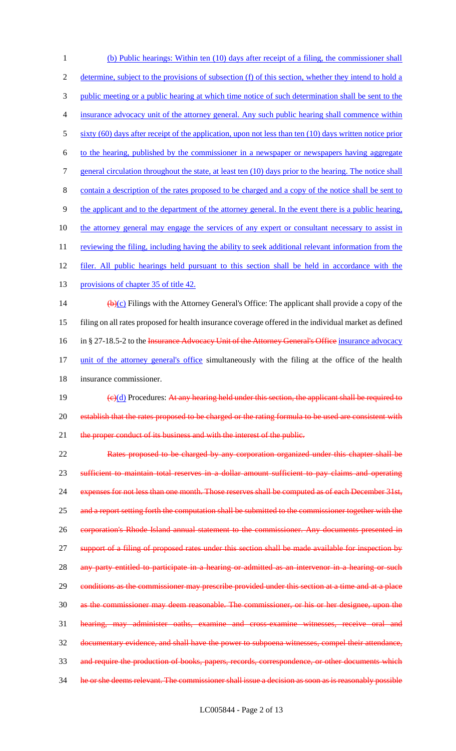1 (b) Public hearings: Within ten (10) days after receipt of a filing, the commissioner shall 2 determine, subject to the provisions of subsection (f) of this section, whether they intend to hold a 3 public meeting or a public hearing at which time notice of such determination shall be sent to the 4 insurance advocacy unit of the attorney general. Any such public hearing shall commence within 5 sixty (60) days after receipt of the application, upon not less than ten (10) days written notice prior 6 to the hearing, published by the commissioner in a newspaper or newspapers having aggregate 7 general circulation throughout the state, at least ten (10) days prior to the hearing. The notice shall 8 contain a description of the rates proposed to be charged and a copy of the notice shall be sent to 9 the applicant and to the department of the attorney general. In the event there is a public hearing, 10 the attorney general may engage the services of any expert or consultant necessary to assist in 11 reviewing the filing, including having the ability to seek additional relevant information from the 12 filer. All public hearings held pursuant to this section shall be held in accordance with the 13 provisions of chapter 35 of title 42. 14  $(b)(c)$  Filings with the Attorney General's Office: The applicant shall provide a copy of the 15 filing on all rates proposed for health insurance coverage offered in the individual market as defined 16 in § 27-18.5-2 to the Insurance Advocacy Unit of the Attorney General's Office insurance advocacy 17 unit of the attorney general's office simultaneously with the filing at the office of the health 18 insurance commissioner. 19  $(e)(d)$  Procedures: At any hearing held under this section, the applicant shall be required to 20 establish that the rates proposed to be charged or the rating formula to be used are consistent with 21 the proper conduct of its business and with the interest of the public. 22 Rates proposed to be charged by any corporation organized under this chapter shall be 23 sufficient to maintain total reserves in a dollar amount sufficient to pay claims and operating 24 expenses for not less than one month. Those reserves shall be computed as of each December 31st, 25 and a report setting forth the computation shall be submitted to the commissioner together with the 26 corporation's Rhode Island annual statement to the commissioner. Any documents presented in 27 support of a filing of proposed rates under this section shall be made available for inspection by 28 any party entitled to participate in a hearing or admitted as an intervenor in a hearing or such 29 conditions as the commissioner may prescribe provided under this section at a time and at a place 30 as the commissioner may deem reasonable. The commissioner, or his or her designee, upon the 31 hearing, may administer oaths, examine and cross-examine witnesses, receive oral and 32 documentary evidence, and shall have the power to subpoena witnesses, compel their attendance, 33 and require the production of books, papers, records, correspondence, or other documents which 34 he or she deems relevant. The commissioner shall issue a decision as soon as is reasonably possible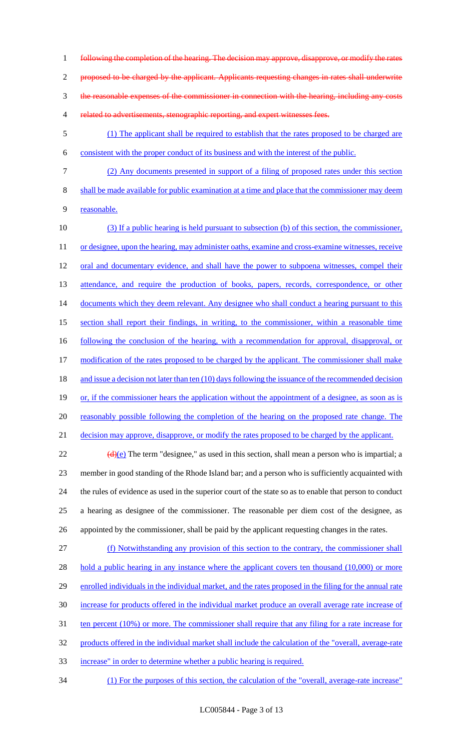following the completion of the hearing. The decision may approve, disapprove, or modify the rates proposed to be charged by the applicant. Applicants requesting changes in rates shall underwrite the reasonable expenses of the commissioner in connection with the hearing, including any costs 4 related to advertisements, stenographic reporting, and expert witnesses fees.

5 (1) The applicant shall be required to establish that the rates proposed to be charged are 6 consistent with the proper conduct of its business and with the interest of the public.

7 (2) Any documents presented in support of a filing of proposed rates under this section

8 shall be made available for public examination at a time and place that the commissioner may deem 9 reasonable.

10 (3) If a public hearing is held pursuant to subsection (b) of this section, the commissioner, 11 or designee, upon the hearing, may administer oaths, examine and cross-examine witnesses, receive 12 oral and documentary evidence, and shall have the power to subpoena witnesses, compel their 13 attendance, and require the production of books, papers, records, correspondence, or other 14 documents which they deem relevant. Any designee who shall conduct a hearing pursuant to this 15 section shall report their findings, in writing, to the commissioner, within a reasonable time 16 following the conclusion of the hearing, with a recommendation for approval, disapproval, or 17 modification of the rates proposed to be charged by the applicant. The commissioner shall make 18 and issue a decision not later than ten (10) days following the issuance of the recommended decision 19 or, if the commissioner hears the application without the appointment of a designee, as soon as is 20 reasonably possible following the completion of the hearing on the proposed rate change. The 21 decision may approve, disapprove, or modify the rates proposed to be charged by the applicant.

 $(d)(e)$  The term "designee," as used in this section, shall mean a person who is impartial; a member in good standing of the Rhode Island bar; and a person who is sufficiently acquainted with the rules of evidence as used in the superior court of the state so as to enable that person to conduct a hearing as designee of the commissioner. The reasonable per diem cost of the designee, as appointed by the commissioner, shall be paid by the applicant requesting changes in the rates.

27 (f) Notwithstanding any provision of this section to the contrary, the commissioner shall 28 hold a public hearing in any instance where the applicant covers ten thousand (10,000) or more 29 enrolled individuals in the individual market, and the rates proposed in the filing for the annual rate 30 increase for products offered in the individual market produce an overall average rate increase of 31 ten percent (10%) or more. The commissioner shall require that any filing for a rate increase for 32 products offered in the individual market shall include the calculation of the "overall, average-rate 33 increase" in order to determine whether a public hearing is required.

34 (1) For the purposes of this section, the calculation of the "overall, average-rate increase"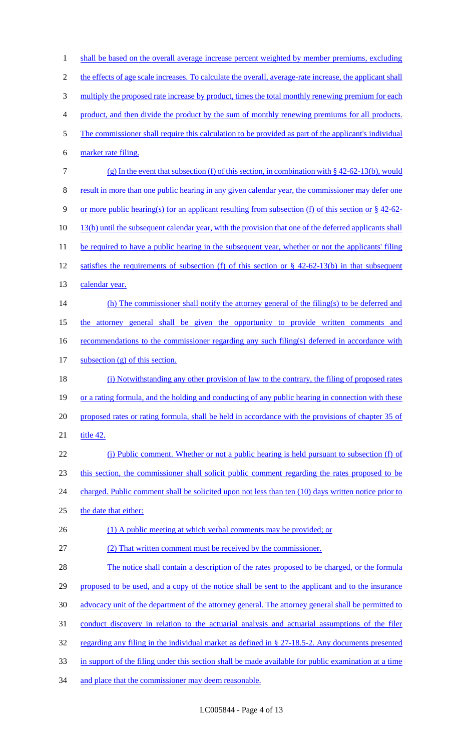1 shall be based on the overall average increase percent weighted by member premiums, excluding 2 the effects of age scale increases. To calculate the overall, average-rate increase, the applicant shall 3 multiply the proposed rate increase by product, times the total monthly renewing premium for each 4 product, and then divide the product by the sum of monthly renewing premiums for all products. 5 The commissioner shall require this calculation to be provided as part of the applicant's individual 6 market rate filing. 7 (g) In the event that subsection (f) of this section, in combination with § 42-62-13(b), would 8 result in more than one public hearing in any given calendar year, the commissioner may defer one 9 or more public hearing(s) for an applicant resulting from subsection (f) of this section or § 42-62- 10 13(b) until the subsequent calendar year, with the provision that one of the deferred applicants shall 11 be required to have a public hearing in the subsequent year, whether or not the applicants' filing 12 satisfies the requirements of subsection (f) of this section or § 42-62-13(b) in that subsequent 13 calendar year. 14 (h) The commissioner shall notify the attorney general of the filing(s) to be deferred and 15 the attorney general shall be given the opportunity to provide written comments and 16 recommendations to the commissioner regarding any such filing(s) deferred in accordance with 17 subsection (g) of this section. 18 (i) Notwithstanding any other provision of law to the contrary, the filing of proposed rates 19 or a rating formula, and the holding and conducting of any public hearing in connection with these 20 proposed rates or rating formula, shall be held in accordance with the provisions of chapter 35 of 21 title 42. 22 (j) Public comment. Whether or not a public hearing is held pursuant to subsection (f) of 23 this section, the commissioner shall solicit public comment regarding the rates proposed to be 24 charged. Public comment shall be solicited upon not less than ten (10) days written notice prior to 25 the date that either: 26 (1) A public meeting at which verbal comments may be provided; or 27 (2) That written comment must be received by the commissioner. 28 The notice shall contain a description of the rates proposed to be charged, or the formula 29 proposed to be used, and a copy of the notice shall be sent to the applicant and to the insurance 30 advocacy unit of the department of the attorney general. The attorney general shall be permitted to 31 conduct discovery in relation to the actuarial analysis and actuarial assumptions of the filer 32 regarding any filing in the individual market as defined in § 27-18.5-2. Any documents presented 33 in support of the filing under this section shall be made available for public examination at a time 34 and place that the commissioner may deem reasonable.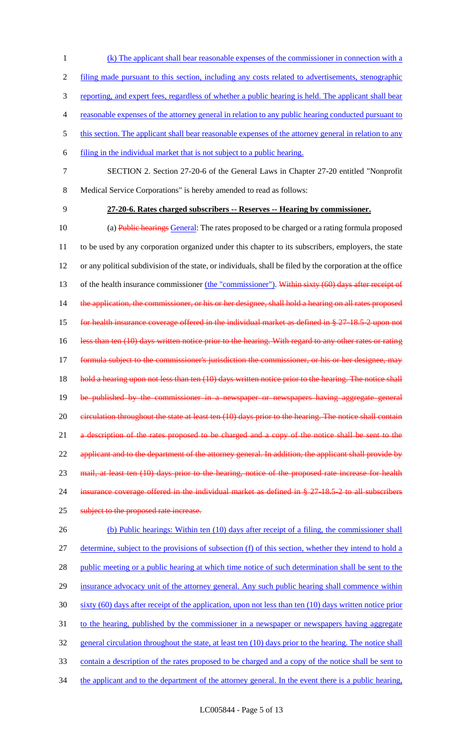1 (k) The applicant shall bear reasonable expenses of the commissioner in connection with a 2 filing made pursuant to this section, including any costs related to advertisements, stenographic 3 reporting, and expert fees, regardless of whether a public hearing is held. The applicant shall bear 4 reasonable expenses of the attorney general in relation to any public hearing conducted pursuant to 5 this section. The applicant shall bear reasonable expenses of the attorney general in relation to any 6 filing in the individual market that is not subject to a public hearing. 7 SECTION 2. Section 27-20-6 of the General Laws in Chapter 27-20 entitled "Nonprofit 8 Medical Service Corporations" is hereby amended to read as follows: 9 **27-20-6. Rates charged subscribers -- Reserves -- Hearing by commissioner.** 10 (a) Public hearings General: The rates proposed to be charged or a rating formula proposed 11 to be used by any corporation organized under this chapter to its subscribers, employers, the state 12 or any political subdivision of the state, or individuals, shall be filed by the corporation at the office 13 of the health insurance commissioner (the "commissioner"). Within sixty (60) days after receipt of 14 the application, the commissioner, or his or her designee, shall hold a hearing on all rates proposed 15 for health insurance coverage offered in the individual market as defined in § 27-18.5-2 upon not 16 less than ten (10) days written notice prior to the hearing. With regard to any other rates or rating 17 formula subject to the commissioner's jurisdiction the commissioner, or his or her designee, may 18 hold a hearing upon not less than ten (10) days written notice prior to the hearing. The notice shall 19 be published by the commissioner in a newspaper or newspapers having aggregate general 20 eirculation throughout the state at least ten (10) days prior to the hearing. The notice shall contain 21 a description of the rates proposed to be charged and a copy of the notice shall be sent to the 22 applicant and to the department of the attorney general. In addition, the applicant shall provide by 23 mail, at least ten (10) days prior to the hearing, notice of the proposed rate increase for health 24 insurance coverage offered in the individual market as defined in § 27-18.5-2 to all subscribers 25 subject to the proposed rate increase. 26 (b) Public hearings: Within ten (10) days after receipt of a filing, the commissioner shall 27 determine, subject to the provisions of subsection (f) of this section, whether they intend to hold a 28 public meeting or a public hearing at which time notice of such determination shall be sent to the 29 insurance advocacy unit of the attorney general. Any such public hearing shall commence within 30 sixty (60) days after receipt of the application, upon not less than ten (10) days written notice prior 31 to the hearing, published by the commissioner in a newspaper or newspapers having aggregate 32 general circulation throughout the state, at least ten (10) days prior to the hearing. The notice shall

33 contain a description of the rates proposed to be charged and a copy of the notice shall be sent to

34 the applicant and to the department of the attorney general. In the event there is a public hearing,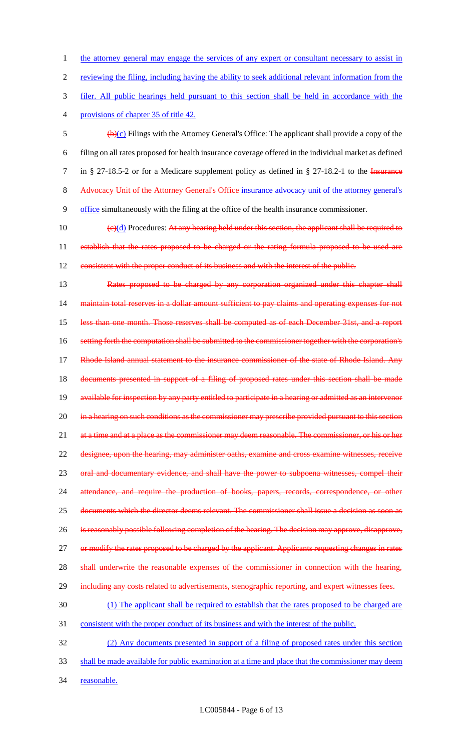1 the attorney general may engage the services of any expert or consultant necessary to assist in 2 reviewing the filing, including having the ability to seek additional relevant information from the 3 filer. All public hearings held pursuant to this section shall be held in accordance with the 4 provisions of chapter 35 of title 42.  $\frac{1}{2}$  (b)(c) Filings with the Attorney General's Office: The applicant shall provide a copy of the 6 filing on all rates proposed for health insurance coverage offered in the individual market as defined 7 in § 27-18.5-2 or for a Medicare supplement policy as defined in § 27-18.2-1 to the Insurance 8 Advocacy Unit of the Attorney General's Office insurance advocacy unit of the attorney general's 9 office simultaneously with the filing at the office of the health insurance commissioner. 10  $(e)(d)$  Procedures: At any hearing held under this section, the applicant shall be required to 11 establish that the rates proposed to be charged or the rating formula proposed to be used are 12 consistent with the proper conduct of its business and with the interest of the public. 13 Rates proposed to be charged by any corporation organized under this chapter shall 14 maintain total reserves in a dollar amount sufficient to pay claims and operating expenses for not 15 less than one month. Those reserves shall be computed as of each December 31st, and a report 16 setting forth the computation shall be submitted to the commissioner together with the corporation's 17 Rhode Island annual statement to the insurance commissioner of the state of Rhode Island. Any 18 documents presented in support of a filing of proposed rates under this section shall be made 19 available for inspection by any party entitled to participate in a hearing or admitted as an intervenor 20 in a hearing on such conditions as the commissioner may prescribe provided pursuant to this section 21 at a time and at a place as the commissioner may deem reasonable. The commissioner, or his or her 22 designee, upon the hearing, may administer oaths, examine and cross examine witnesses, receive 23 oral and documentary evidence, and shall have the power to subpoena witnesses, compel their 24 attendance, and require the production of books, papers, records, correspondence, or other 25 documents which the director deems relevant. The commissioner shall issue a decision as soon as 26 is reasonably possible following completion of the hearing. The decision may approve, disapprove, 27 or modify the rates proposed to be charged by the applicant. Applicants requesting changes in rates 28 shall underwrite the reasonable expenses of the commissioner in connection with the hearing, 29 including any costs related to advertisements, stenographic reporting, and expert witnesses fees. 30 (1) The applicant shall be required to establish that the rates proposed to be charged are 31 consistent with the proper conduct of its business and with the interest of the public. 32 (2) Any documents presented in support of a filing of proposed rates under this section 33 shall be made available for public examination at a time and place that the commissioner may deem 34 reasonable.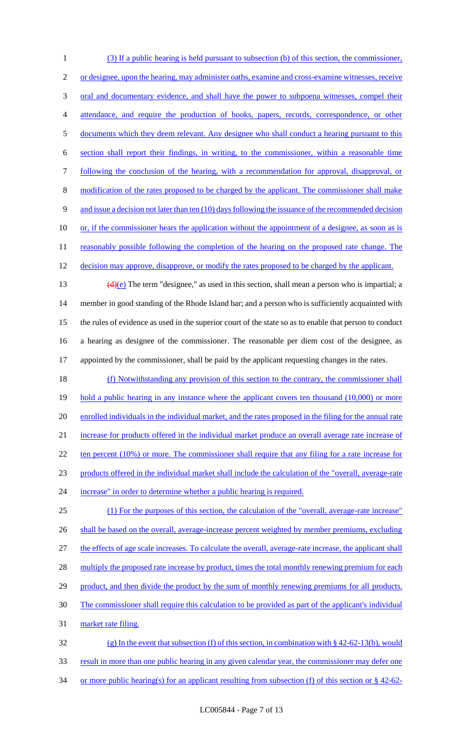(3) If a public hearing is held pursuant to subsection (b) of this section, the commissioner, 2 or designee, upon the hearing, may administer oaths, examine and cross-examine witnesses, receive 3 oral and documentary evidence, and shall have the power to subpoena witnesses, compel their 4 attendance, and require the production of books, papers, records, correspondence, or other 5 documents which they deem relevant. Any designee who shall conduct a hearing pursuant to this section shall report their findings, in writing, to the commissioner, within a reasonable time following the conclusion of the hearing, with a recommendation for approval, disapproval, or modification of the rates proposed to be charged by the applicant. The commissioner shall make and issue a decision not later than ten (10) days following the issuance of the recommended decision 10 or, if the commissioner hears the application without the appointment of a designee, as soon as is 11 reasonably possible following the completion of the hearing on the proposed rate change. The 12 decision may approve, disapprove, or modify the rates proposed to be charged by the applicant.  $(d)(e)$  The term "designee," as used in this section, shall mean a person who is impartial; a member in good standing of the Rhode Island bar; and a person who is sufficiently acquainted with the rules of evidence as used in the superior court of the state so as to enable that person to conduct a hearing as designee of the commissioner. The reasonable per diem cost of the designee, as appointed by the commissioner, shall be paid by the applicant requesting changes in the rates. (f) Notwithstanding any provision of this section to the contrary, the commissioner shall

19 hold a public hearing in any instance where the applicant covers ten thousand (10,000) or more 20 enrolled individuals in the individual market, and the rates proposed in the filing for the annual rate 21 increase for products offered in the individual market produce an overall average rate increase of 22 ten percent (10%) or more. The commissioner shall require that any filing for a rate increase for 23 products offered in the individual market shall include the calculation of the "overall, average-rate 24 increase" in order to determine whether a public hearing is required.

25 (1) For the purposes of this section, the calculation of the "overall, average-rate increase" 26 shall be based on the overall, average-increase percent weighted by member premiums, excluding 27 the effects of age scale increases. To calculate the overall, average-rate increase, the applicant shall 28 multiply the proposed rate increase by product, times the total monthly renewing premium for each 29 product, and then divide the product by the sum of monthly renewing premiums for all products. 30 The commissioner shall require this calculation to be provided as part of the applicant's individual 31 market rate filing. 32 (g) In the event that subsection (f) of this section, in combination with § 42-62-13(b), would

33 result in more than one public hearing in any given calendar year, the commissioner may defer one 34 or more public hearing(s) for an applicant resulting from subsection (f) of this section or § 42-62-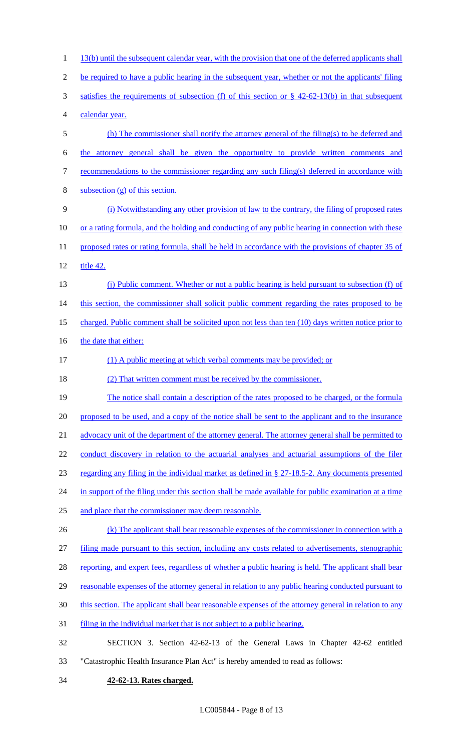1 13(b) until the subsequent calendar year, with the provision that one of the deferred applicants shall be required to have a public hearing in the subsequent year, whether or not the applicants' filing satisfies the requirements of subsection (f) of this section or § 42-62-13(b) in that subsequent calendar year. (h) The commissioner shall notify the attorney general of the filing(s) to be deferred and the attorney general shall be given the opportunity to provide written comments and 7 recommendations to the commissioner regarding any such filing(s) deferred in accordance with subsection (g) of this section. (i) Notwithstanding any other provision of law to the contrary, the filing of proposed rates 10 or a rating formula, and the holding and conducting of any public hearing in connection with these 11 proposed rates or rating formula, shall be held in accordance with the provisions of chapter 35 of title 42. (j) Public comment. Whether or not a public hearing is held pursuant to subsection (f) of 14 this section, the commissioner shall solicit public comment regarding the rates proposed to be charged. Public comment shall be solicited upon not less than ten (10) days written notice prior to 16 the date that either: (1) A public meeting at which verbal comments may be provided; or (2) That written comment must be received by the commissioner. 19 The notice shall contain a description of the rates proposed to be charged, or the formula 20 proposed to be used, and a copy of the notice shall be sent to the applicant and to the insurance 21 advocacy unit of the department of the attorney general. The attorney general shall be permitted to conduct discovery in relation to the actuarial analyses and actuarial assumptions of the filer regarding any filing in the individual market as defined in § 27-18.5-2. Any documents presented 24 in support of the filing under this section shall be made available for public examination at a time and place that the commissioner may deem reasonable. 26 (k) The applicant shall bear reasonable expenses of the commissioner in connection with a filing made pursuant to this section, including any costs related to advertisements, stenographic 28 reporting, and expert fees, regardless of whether a public hearing is held. The applicant shall bear reasonable expenses of the attorney general in relation to any public hearing conducted pursuant to this section. The applicant shall bear reasonable expenses of the attorney general in relation to any filing in the individual market that is not subject to a public hearing. SECTION 3. Section 42-62-13 of the General Laws in Chapter 42-62 entitled "Catastrophic Health Insurance Plan Act" is hereby amended to read as follows: **42-62-13. Rates charged.**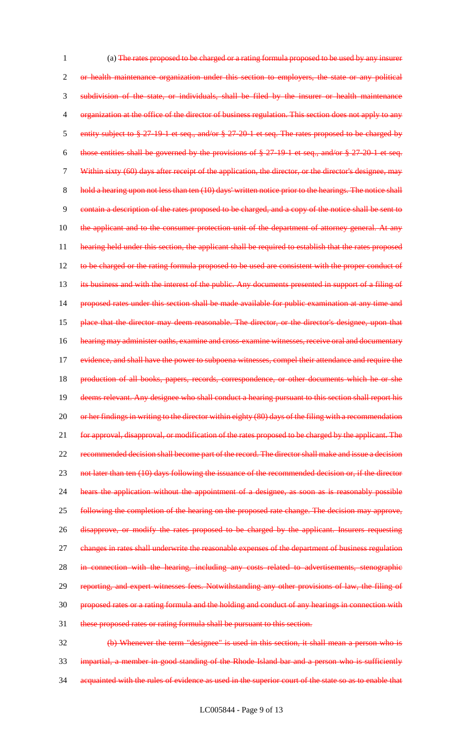1 (a) The rates proposed to be charged or a rating formula proposed to be used by any insurer 2 or health maintenance organization under this section to employers, the state or any political 3 subdivision of the state, or individuals, shall be filed by the insurer or health maintenance 4 organization at the office of the director of business regulation. This section does not apply to any 5 entity subject to § 27-19-1 et seq., and/or § 27-20-1 et seq. The rates proposed to be charged by 6 those entities shall be governed by the provisions of § 27-19-1 et seq., and/or § 27-20-1 et seq. 7 Within sixty (60) days after receipt of the application, the director, or the director's designee, may 8 hold a hearing upon not less than ten (10) days' written notice prior to the hearings. The notice shall 9 contain a description of the rates proposed to be charged, and a copy of the notice shall be sent to 10 the applicant and to the consumer protection unit of the department of attorney general. At any 11 hearing held under this section, the applicant shall be required to establish that the rates proposed 12 to be charged or the rating formula proposed to be used are consistent with the proper conduct of 13 its business and with the interest of the public. Any documents presented in support of a filing of 14 proposed rates under this section shall be made available for public examination at any time and 15 place that the director may deem reasonable. The director, or the director's designee, upon that 16 hearing may administer oaths, examine and cross-examine witnesses, receive oral and documentary 17 evidence, and shall have the power to subpoena witnesses, compel their attendance and require the 18 production of all books, papers, records, correspondence, or other documents which he or she 19 deems relevant. Any designee who shall conduct a hearing pursuant to this section shall report his 20 or her findings in writing to the director within eighty (80) days of the filing with a recommendation 21 for approval, disapproval, or modification of the rates proposed to be charged by the applicant. The 22 recommended decision shall become part of the record. The director shall make and issue a decision 23 not later than ten (10) days following the issuance of the recommended decision or, if the director 24 hears the application without the appointment of a designee, as soon as is reasonably possible 25 following the completion of the hearing on the proposed rate change. The decision may approve, 26 disapprove, or modify the rates proposed to be charged by the applicant. Insurers requesting 27 changes in rates shall underwrite the reasonable expenses of the department of business regulation 28 in connection with the hearing, including any costs related to advertisements, stenographic 29 reporting, and expert witnesses fees. Notwithstanding any other provisions of law, the filing of 30 proposed rates or a rating formula and the holding and conduct of any hearings in connection with 31 these proposed rates or rating formula shall be pursuant to this section. 32 (b) Whenever the term "designee" is used in this section, it shall mean a person who is

33 impartial, a member in good standing of the Rhode Island bar and a person who is sufficiently 34 acquainted with the rules of evidence as used in the superior court of the state so as to enable that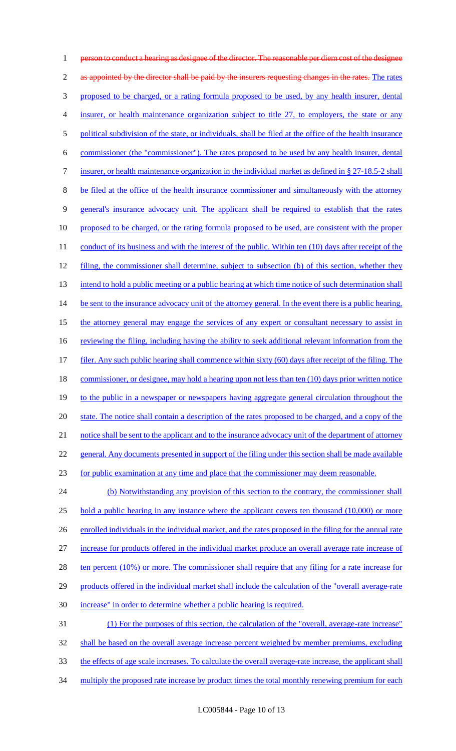1 person to conduct a hearing as designee of the director. The reasonable per diem cost of the designee 2 as appointed by the director shall be paid by the insurers requesting changes in the rates. The rates 3 proposed to be charged, or a rating formula proposed to be used, by any health insurer, dental 4 insurer, or health maintenance organization subject to title 27, to employers, the state or any 5 political subdivision of the state, or individuals, shall be filed at the office of the health insurance 6 commissioner (the "commissioner"). The rates proposed to be used by any health insurer, dental 7 insurer, or health maintenance organization in the individual market as defined in § 27-18.5-2 shall 8 be filed at the office of the health insurance commissioner and simultaneously with the attorney 9 general's insurance advocacy unit. The applicant shall be required to establish that the rates 10 proposed to be charged, or the rating formula proposed to be used, are consistent with the proper 11 conduct of its business and with the interest of the public. Within ten (10) days after receipt of the 12 filing, the commissioner shall determine, subject to subsection (b) of this section, whether they 13 intend to hold a public meeting or a public hearing at which time notice of such determination shall 14 be sent to the insurance advocacy unit of the attorney general. In the event there is a public hearing, 15 the attorney general may engage the services of any expert or consultant necessary to assist in 16 reviewing the filing, including having the ability to seek additional relevant information from the 17 filer. Any such public hearing shall commence within sixty (60) days after receipt of the filing. The 18 commissioner, or designee, may hold a hearing upon not less than ten (10) days prior written notice 19 to the public in a newspaper or newspapers having aggregate general circulation throughout the 20 state. The notice shall contain a description of the rates proposed to be charged, and a copy of the 21 notice shall be sent to the applicant and to the insurance advocacy unit of the department of attorney 22 general. Any documents presented in support of the filing under this section shall be made available 23 for public examination at any time and place that the commissioner may deem reasonable. 24 (b) Notwithstanding any provision of this section to the contrary, the commissioner shall 25 hold a public hearing in any instance where the applicant covers ten thousand (10,000) or more 26 enrolled individuals in the individual market, and the rates proposed in the filing for the annual rate 27 increase for products offered in the individual market produce an overall average rate increase of 28 ten percent (10%) or more. The commissioner shall require that any filing for a rate increase for 29 products offered in the individual market shall include the calculation of the "overall average-rate 30 increase" in order to determine whether a public hearing is required. 31 (1) For the purposes of this section, the calculation of the "overall, average-rate increase" 32 shall be based on the overall average increase percent weighted by member premiums, excluding 33 the effects of age scale increases. To calculate the overall average-rate increase, the applicant shall

34 multiply the proposed rate increase by product times the total monthly renewing premium for each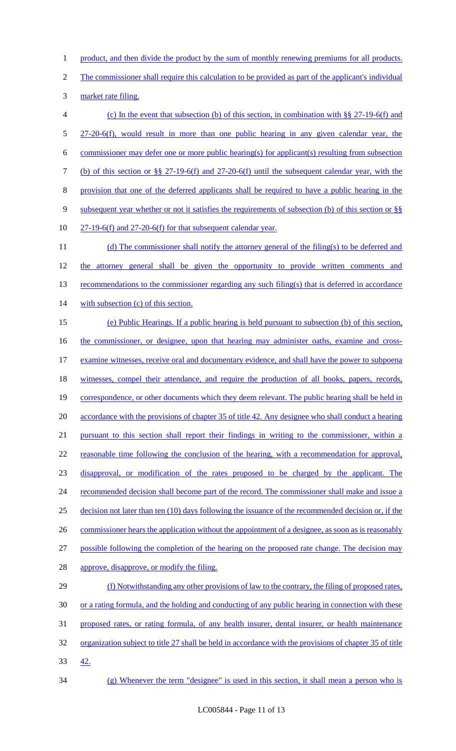1 product, and then divide the product by the sum of monthly renewing premiums for all products.

The commissioner shall require this calculation to be provided as part of the applicant's individual

market rate filing.

 (c) In the event that subsection (b) of this section, in combination with §§ 27-19-6(f) and 27-20-6(f), would result in more than one public hearing in any given calendar year, the commissioner may defer one or more public hearing(s) for applicant(s) resulting from subsection (b) of this section or §§ 27-19-6(f) and 27-20-6(f) until the subsequent calendar year, with the provision that one of the deferred applicants shall be required to have a public hearing in the subsequent year whether or not it satisfies the requirements of subsection (b) of this section or §§ 27-19-6(f) and 27-20-6(f) for that subsequent calendar year. 11 (d) The commissioner shall notify the attorney general of the filing(s) to be deferred and 12 the attorney general shall be given the opportunity to provide written comments and 13 recommendations to the commissioner regarding any such filing(s) that is deferred in accordance 14 with subsection (c) of this section. (e) Public Hearings. If a public hearing is held pursuant to subsection (b) of this section, 16 the commissioner, or designee, upon that hearing may administer oaths, examine and cross- examine witnesses, receive oral and documentary evidence, and shall have the power to subpoena 18 witnesses, compel their attendance, and require the production of all books, papers, records, 19 correspondence, or other documents which they deem relevant. The public hearing shall be held in 20 accordance with the provisions of chapter 35 of title 42. Any designee who shall conduct a hearing pursuant to this section shall report their findings in writing to the commissioner, within a reasonable time following the conclusion of the hearing, with a recommendation for approval, disapproval, or modification of the rates proposed to be charged by the applicant. The 24 recommended decision shall become part of the record. The commissioner shall make and issue a decision not later than ten (10) days following the issuance of the recommended decision or, if the 26 commissioner hears the application without the appointment of a designee, as soon as is reasonably possible following the completion of the hearing on the proposed rate change. The decision may 28 approve, disapprove, or modify the filing. (f) Notwithstanding any other provisions of law to the contrary, the filing of proposed rates, or a rating formula, and the holding and conducting of any public hearing in connection with these proposed rates, or rating formula, of any health insurer, dental insurer, or health maintenance organization subject to title 27 shall be held in accordance with the provisions of chapter 35 of title 42.

(g) Whenever the term "designee" is used in this section, it shall mean a person who is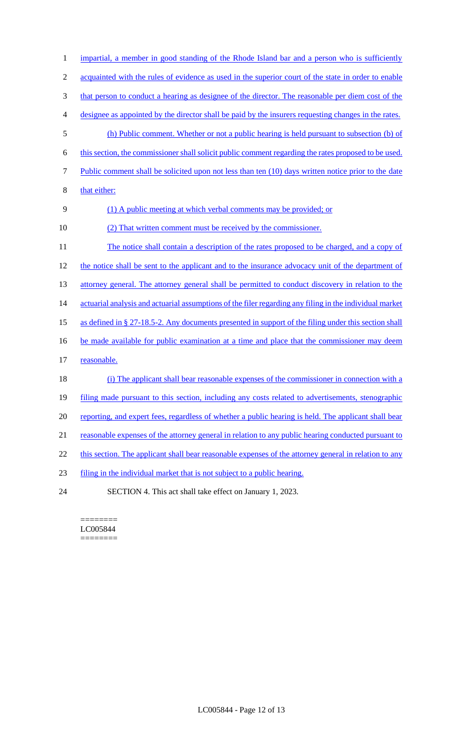| $\mathbf{1}$   | impartial, a member in good standing of the Rhode Island bar and a person who is sufficiently           |
|----------------|---------------------------------------------------------------------------------------------------------|
| $\mathfrak{2}$ | acquainted with the rules of evidence as used in the superior court of the state in order to enable     |
| 3              | that person to conduct a hearing as designee of the director. The reasonable per diem cost of the       |
| 4              | designee as appointed by the director shall be paid by the insurers requesting changes in the rates.    |
| 5              | (h) Public comment. Whether or not a public hearing is held pursuant to subsection (b) of               |
| 6              | this section, the commissioner shall solicit public comment regarding the rates proposed to be used.    |
| 7              | Public comment shall be solicited upon not less than ten (10) days written notice prior to the date     |
| 8              | that either:                                                                                            |
| 9              | (1) A public meeting at which verbal comments may be provided; or                                       |
| 10             | (2) That written comment must be received by the commissioner.                                          |
| 11             | The notice shall contain a description of the rates proposed to be charged, and a copy of               |
| 12             | the notice shall be sent to the applicant and to the insurance advocacy unit of the department of       |
| 13             | attorney general. The attorney general shall be permitted to conduct discovery in relation to the       |
| 14             | actuarial analysis and actuarial assumptions of the filer regarding any filing in the individual market |
| 15             | as defined in § 27-18.5-2. Any documents presented in support of the filing under this section shall    |
| 16             | be made available for public examination at a time and place that the commissioner may deem             |
| 17             | reasonable.                                                                                             |
| 18             | (i) The applicant shall bear reasonable expenses of the commissioner in connection with a               |
| 19             | filing made pursuant to this section, including any costs related to advertisements, stenographic       |
| 20             | reporting, and expert fees, regardless of whether a public hearing is held. The applicant shall bear    |
| 21             | reasonable expenses of the attorney general in relation to any public hearing conducted pursuant to     |
| 22             | this section. The applicant shall bear reasonable expenses of the attorney general in relation to any   |
| 23             | filing in the individual market that is not subject to a public hearing.                                |
| 24             | SECTION 4. This act shall take effect on January 1, 2023.                                               |

 $=$ LC005844  $=$